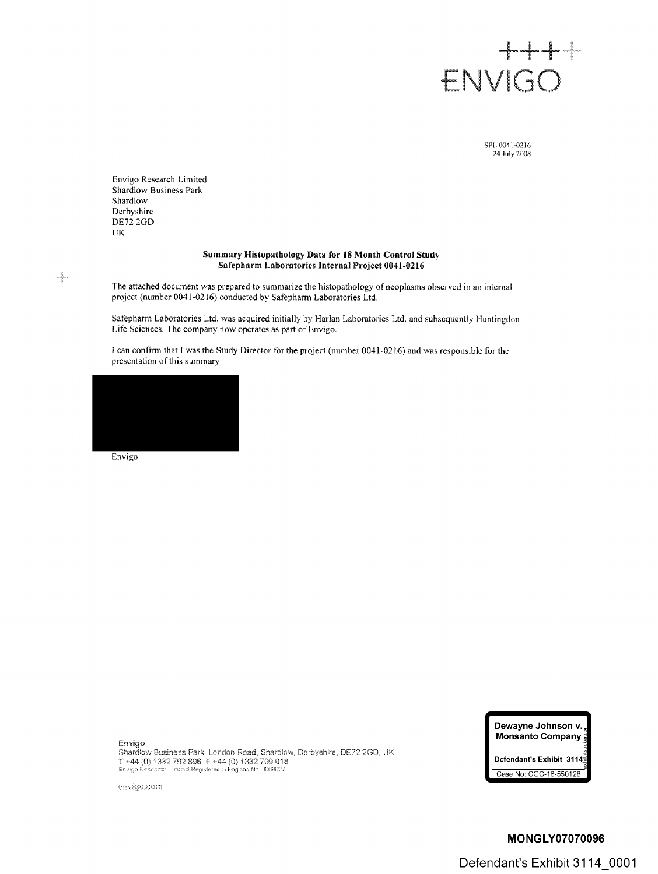

SPL 0041-0216 24 July 2008

Envigo Research Limited Shardlow Business Park Shardlow Derbyshire DE72 2GD UK

# **Summary Histopathology Data for 18 Month Control Study Safepharm Laboratories Internal Project 0041-0216**

The attached document was prepared to summarize the histopathology of neoplasms observed in an internal project (number 0041-0216) conducted by Safepharm Laboratories Ltd,

Safepharm Laboratories Ltd. was acquired initially by Harlan Laboratories Ltd. and subsequently Huntingdon Life Sciences. The company now operates as part of Envigo.

<sup>l</sup> can confirm that <sup>I</sup> was the Study Director for the project (number 0041-0216) and was responsible for lhe presentation of this summary.

| and the control of the con- |  |  |
|-----------------------------|--|--|
|                             |  |  |

Envigo

Ą.

#### Envigo

Snardlow Business Park: London Road, Shardlow, Derbyshire, DE72 2GD, UK The state of the state of the state of the state of the state of the state of the state of the state of the state of the state of the state of the state of the state of the state of the state of the state of the state of t

envigo.com



**Defendant'e Exhibit** 3114~1 Case No: GGG-]6-550128 ¯

# **MONGLY07070096 Defendant's Exhibit 3114 0001**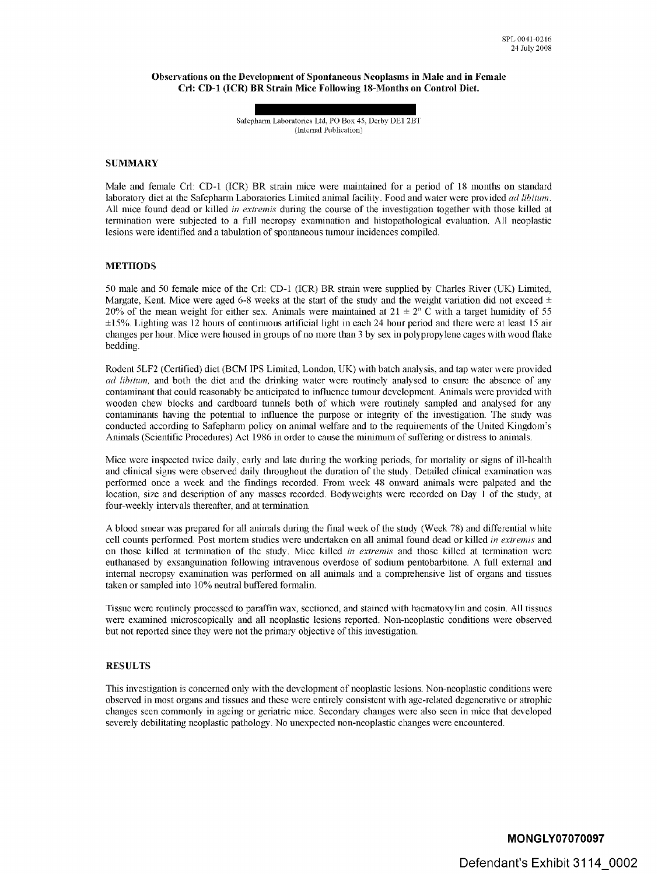Observations on the Development of Spontaneous Neoplasms in Male and in Female **Cfl:** CD-1 (ICR) BR Strain Mice Following 18-Months on Control Diet.

> Safepharm Laboratories Ltd, PO Box 45, Derby DE1 2BT (Internal Publication)

#### **SUMMARY**

Male and female Crl: CD-1 (ICR) BR strain mice were maintained for a period of 18 months on standard laboratory diet at the Safepharm Laboratories Limited animal facility. Food and water were provided *ad libitum*. All mice found dead or killed *in extremis* during the course of the investigation together with those killed at termination were subjected to a full necropsy examination and histopathological evaluation. All neoplastic lesions were identified and a tabulation of spontaneous [tumour](https://www.baumhedlundlaw.com/toxic-tort-law/monsanto-roundup-lawsuit/) incidences compiled.

### **METHODS**

50 male and 50 female mice of the Cfl: CD-1 (ICR) BR strain were supplied by Charles River (UK) Limited, Margate, Kent. Mice were aged 6-8 weeks at the start of the study and the weight variation did not exceed  $\pm$ 20% of the mean weight for either sex. Animals were maintained at  $21 \pm 2^{\circ}$  C with a target humidity of 55  $\pm 15\%$ . Lighting was 12 hours of continuous artificial light in each 24 hour period and there were at least 15 air changes per hour. Mice were housed in groups of no more than <sup>3</sup> by sex in polypropylene cages with wood flake bedding.

Rodent 5LF2 (Certified) diet (BCM IPS Limited, London, UK) with batch analysis, and tap water were provided *ad libitum,* and both the diet and the drinking water were routinely analysed to ensure the absence of any contaminant that could reasonably be anticipated to influence tumour development. Animals were provided with wooden chew blocks and cardboard tunnels both of which were routinely sampled and analysed for any contaminants having the potential to influence the purpose or integrity of the investigation. The study was conducted according to Safepharm policy on animal welfare and to the requirements of the United Kingdom's Animals (Scientific Procedures) Act 1986 in order to cause the minimum of suffering or distress to animals.

Mice were inspected twice daily, early- and late during the working periods, for mortality or signs of ill-health and clinical signs were observed daily throughout the duration of the study. Detailed clinical examination was performed once a week and the findings recorded. From week 48 onward animals were palpated and the location, size and description of any masses recorded. Bodyweights were recorded on Day  $\hat{I}$  of the study, at four-weekly intervals thereafter, and at termination.

A blood smear was prepared for all animals during the final week of the study (Week 78) and differential white cell counts performed. Post mortem studies were undertaken on all animal found dead or killed *in extremis* and on those killed at termination of the study. Mice killed *in extremis* and those killed at termination were euthanased by exsanguination following intravenous overdose of sodium pentobarbitone. A full external and internal necropsy examination was performed on all animals and a comprehensive list of organs and tissues taken or sampled into  $10\%$  neutral buffered formalin.

Tissue were routinely processed to paraffin wax, sectioned, and stained with haematoxylin and eosin. All tissues were examined microscopically and all neoplastic lesions reported. Non-neoplastic conditions were observed but not reported since they were not the primary objective of this investigation.

### RESULTS

This investigation is concerned only with the developmem of neoplastic lesions. Non-neoplastic conditions were obsen:ed in most organs and tissues and these were entirely consistent with age-related degenerative or atrophic changes seen commonly in ageing or geriatric mice. Secondary changes were also seen in mice that developed severely debilitating neoplastic pathology. No unexpected non-neoplastic changes were encountered.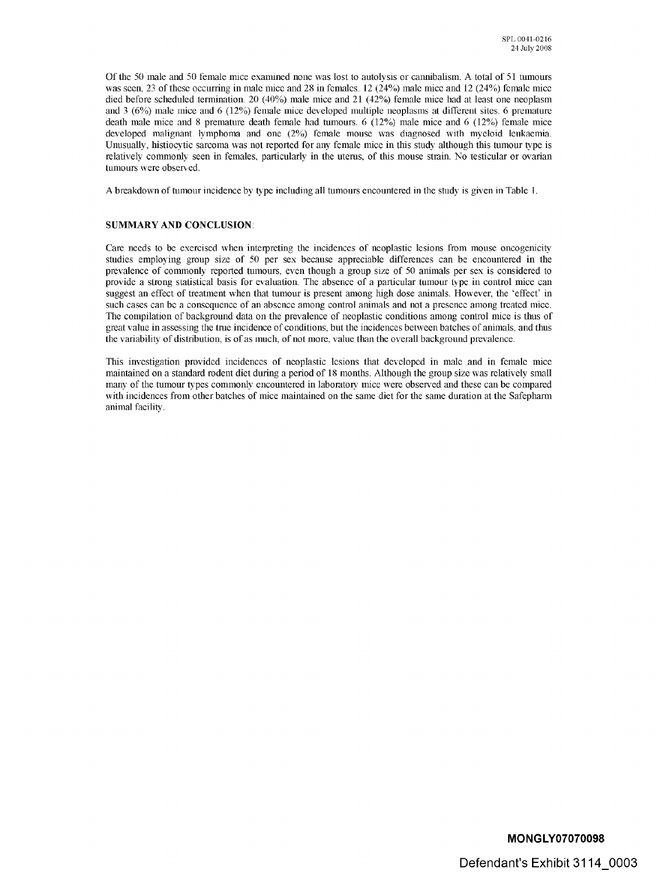Of the 50 male and 50 female mice examined none was lost to autolysis or cannibalism. A total of 51 tumours was seen, 23 of these occurring in male mice and 28 in females.  $12(24%)$  male mice and  $12(24%)$  female mice died before scheduled termination. 20 (40%) male mice and 21 (42%) female mice had at least one neoplasm and 3 (6%) male mice and 6 (12%) female mice developed multiple neoplasms at different sites. 6 premature death male mice and 8 premature death female had tumours.  $6(12%)$  male mice and  $6(12%)$  female mice developed malignant lymphoma and one (2%) female mouse was diagnosed with myeloid leukaemia. Unusually, histiocytic sarcoma was not reported for any female mice in this study although this tumour type is relatively commonly seen in females, particularly in the uterus, of this mouse strain. No testicular or ovarian tumours were observed.

A breakdown of tumour incidence by type including all tumours encountered in the study is given in Table 1.

# **SUMMARY AND CONCLUSION:**

Care needs to be exercised when interpreting the incidences of neoplastic lesions from mouse oncogenicity studies employing group size of 50 per sex because appreciable differences can be encountered in the prevalence of commonly reported tumours, even lhongh a group size of 50 animals per sex is considered to provide a strong statistical basis for evaluation. The absence of a particular tumour type in control mice can suggest an effect of treatment when that tumour is present among high dose animals. However, the "effect' in such cases can be a consequence of an absence among control animals and not a presence among treated mice. The compilation of background data on the prevalence of neoplastic conditions among control mice is thus of great value in assessing the true incidence of conditions, but the incidences between batches of animals, and thus the variability of distribution, is of as much, of not more, value than the overall background prevalence.

This investigation provided incidences of neoplastic lesions that developed in male and in female mice maintained on a standard rodent diet during a period of 18 months. Although the group size was relatively small many of the tumour types commonly encountered in laboratory mice were observed and these can be compared with incidences from other batches of mice maintained on the same diet for the same duration at the Safepharm animal facility.